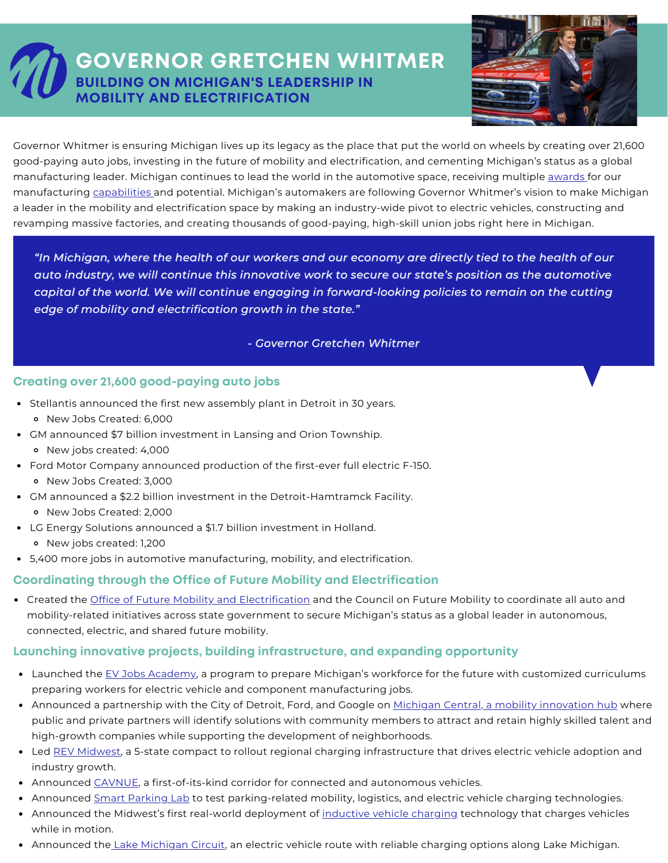# **GOVERNOR GRETCHEN WHITMER BUILDING ON MICHIGAN'S LEADERSHIP IN MOBILITY AND ELECTRIFICATION**



Governor Whitmer is ensuring Michigan lives up its legacy as the place that put the world on wheels by creating over 21,600 good-paying auto jobs, investing in the future of mobility and electrification, and cementing Michigan's status as a global manufacturing leader. Michigan continues to lead the world in the automotive space, receiving multiple [awards](https://www.michiganbusiness.org/press-releases/2021/06/governor-whitmer-announces-award-recognizing-michigan-as-top-state-for-new-manufacturing-jobs-and-investment/) for our manufacturing [capabilities](https://businessfacilities.com/2020/07/business-facilities-16th-annual-rankings-state-rankings-report/) and potential. Michigan's automakers are following Governor Whitmer's vision to make Michigan a leader in the mobility and electrification space by making an industry-wide pivot to electric vehicles, constructing and revamping massive factories, and creating thousands of good-paying, high-skill union jobs right here in Michigan.

"In Michigan, where the health of our workers and our economy are directly tied to the health of our *auto industry, we will continue this innovative work to secure our state's position as the automotive capital of the world. We will continue engaging in forward-looking policies to remain on the cutting edge of mobility and electrification growth in the state."*

#### *- Governor Gretchen Whitmer*

### **Creating over 21,600 good-paying auto jobs**

- Stellantis announced the first new assembly plant in Detroit in 30 years.
	- New Jobs Created: 6,000
- GM announced \$7 billion investment in Lansing and Orion Township. New jobs created: 4,000
- Ford Motor Company announced production of the first-ever full electric F-150.
- New Jobs Created: 3,000
- GM announced a \$2.2 billion investment in the Detroit-Hamtramck Facility.
	- New Jobs Created: 2,000
- LG Energy Solutions announced a \$1.7 billion investment in Holland. New jobs created: 1,200
- 5,400 more jobs in automotive manufacturing, mobility, and electrification.

### **Coordinating through the Office of Future Mobility and Electrification**

Created the Office of Future Mobility and [Electrification](https://www.michigan.gov/whitmer/0,9309,7-387-90499-520221--,00.html) and the Council on Future Mobility to coordinate all auto and mobility-related initiatives across state government to secure Michigan's status as a global leader in autonomous, connected, electric, and shared future mobility.

### **Launching innovative projects, building infrastructure, and expanding opportunity**

- Launched the EV Jobs [Academy,](https://www.michigan.gov/whitmer/0,9309,7-387-90499_90640-568781--,00.html) a program to prepare Michigan's workforce for the future with customized curriculums preparing workers for electric vehicle and component manufacturing jobs.
- Announced a partnership with the City of Detroit, Ford, and Google on Michigan Central, a mobility [innovation](https://www.michiganbusiness.org/news/2019/12/fords-$1.45-billion-investment-closes-out-a-year-driven-by-mobility-innovation-in-michigan/) hub where public and private partners will identify solutions with community members to attract and retain highly skilled talent and high-growth companies while supporting the development of neighborhoods.
- Led REV [Midwest,](https://www.michigan.gov/whitmer/0,9309,7-387-90499_90640-569470--,00.html) a 5-state compact to rollout regional charging infrastructure that drives electric vehicle adoption and industry growth.
- Announced [CAVNUE,](https://www.michiganbusiness.org/press-releases/2020/08/michigan-cavnue-creating-road-of-future-between-ann-arbor-and-detroit/) a first-of-its-kind corridor for connected and autonomous vehicles.
- Announced Smart [Parking](https://www.michigan.gov/whitmer/0,9309,7-387-90499-565682--,00.html) Lab to test parking-related mobility, logistics, and electric vehicle charging technologies.
- Announced the Midwest's first real-world deployment of [inductive](https://www.michigan.gov/whitmer/0,9309,7-387-90499_90640-568674--,00.html) vehicle charging technology that charges vehicles while in motion.
- Announced the Lake [Michigan](https://www.michigan.gov/whitmer/0,9309,7-387-90499_90640-568781--,00.html) Circuit, an electric vehicle route with reliable charging options along Lake Michigan.